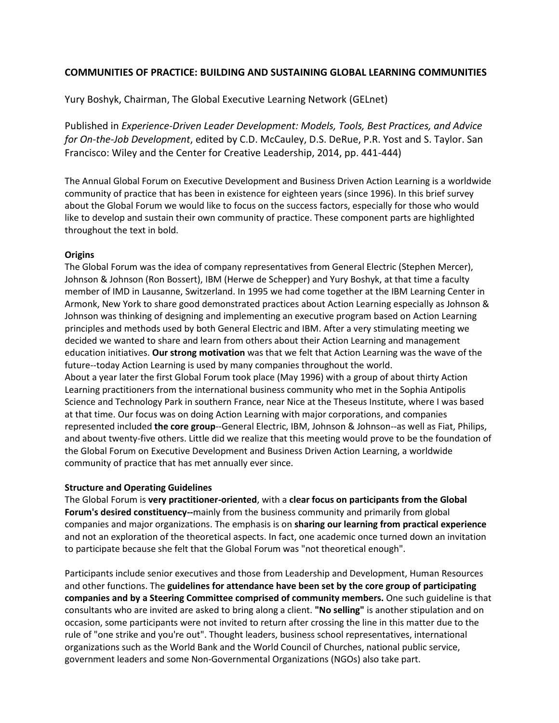# **COMMUNITIES OF PRACTICE: BUILDING AND SUSTAINING GLOBAL LEARNING COMMUNITIES**

Yury Boshyk, Chairman, The Global Executive Learning Network (GELnet)

Published in *Experience-Driven Leader Development: Models, Tools, Best Practices, and Advice for On-the-Job Development*, edited by C.D. McCauley, D.S. DeRue, P.R. Yost and S. Taylor. San Francisco: Wiley and the Center for Creative Leadership, 2014, pp. 441-444)

The Annual Global Forum on Executive Development and Business Driven Action Learning is a worldwide community of practice that has been in existence for eighteen years (since 1996). In this brief survey about the Global Forum we would like to focus on the success factors, especially for those who would like to develop and sustain their own community of practice. These component parts are highlighted throughout the text in bold.

## **Origins**

The Global Forum was the idea of company representatives from General Electric (Stephen Mercer), Johnson & Johnson (Ron Bossert), IBM (Herwe de Schepper) and Yury Boshyk, at that time a faculty member of IMD in Lausanne, Switzerland. In 1995 we had come together at the IBM Learning Center in Armonk, New York to share good demonstrated practices about Action Learning especially as Johnson & Johnson was thinking of designing and implementing an executive program based on Action Learning principles and methods used by both General Electric and IBM. After a very stimulating meeting we decided we wanted to share and learn from others about their Action Learning and management education initiatives. **Our strong motivation** was that we felt that Action Learning was the wave of the future--today Action Learning is used by many companies throughout the world. About a year later the first Global Forum took place (May 1996) with a group of about thirty Action Learning practitioners from the international business community who met in the Sophia Antipolis Science and Technology Park in southern France, near Nice at the Theseus Institute, where I was based at that time. Our focus was on doing Action Learning with major corporations, and companies represented included **the core group**--General Electric, IBM, Johnson & Johnson--as well as Fiat, Philips, and about twenty-five others. Little did we realize that this meeting would prove to be the foundation of the Global Forum on Executive Development and Business Driven Action Learning, a worldwide community of practice that has met annually ever since.

### **Structure and Operating Guidelines**

The Global Forum is **very practitioner-oriented**, with a **clear focus on participants from the Global Forum's desired constituency--**mainly from the business community and primarily from global companies and major organizations. The emphasis is on **sharing our learning from practical experience** and not an exploration of the theoretical aspects. In fact, one academic once turned down an invitation to participate because she felt that the Global Forum was "not theoretical enough".

Participants include senior executives and those from Leadership and Development, Human Resources and other functions. The **guidelines for attendance have been set by the core group of participating companies and by a Steering Committee comprised of community members.** One such guideline is that consultants who are invited are asked to bring along a client. **"No selling"** is another stipulation and on occasion, some participants were not invited to return after crossing the line in this matter due to the rule of "one strike and you're out". Thought leaders, business school representatives, international organizations such as the World Bank and the World Council of Churches, national public service, government leaders and some Non-Governmental Organizations (NGOs) also take part.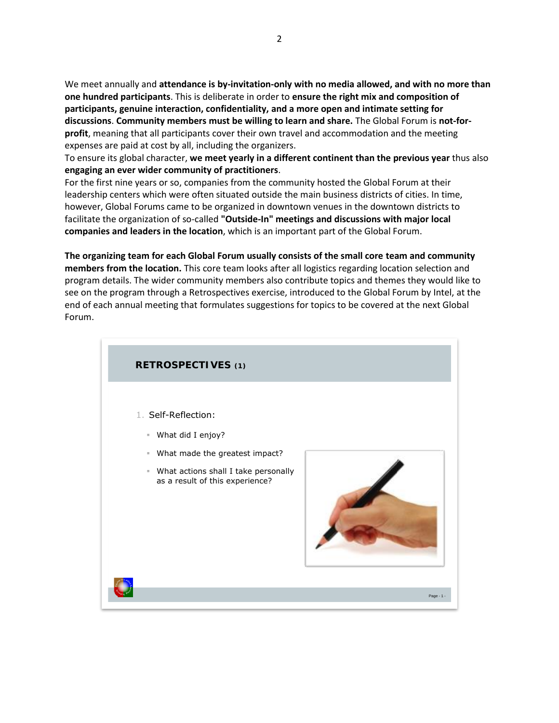We meet annually and **attendance is by-invitation-only with no media allowed, and with no more than one hundred participants**. This is deliberate in order to **ensure the right mix and composition of participants, genuine interaction, confidentiality, and a more open and intimate setting for discussions**. **Community members must be willing to learn and share.** The Global Forum is **not-forprofit**, meaning that all participants cover their own travel and accommodation and the meeting expenses are paid at cost by all, including the organizers.

To ensure its global character, **we meet yearly in a different continent than the previous year** thus also **engaging an ever wider community of practitioners**.

For the first nine years or so, companies from the community hosted the Global Forum at their leadership centers which were often situated outside the main business districts of cities. In time, however, Global Forums came to be organized in downtown venues in the downtown districts to facilitate the organization of so-called **"Outside-In" meetings and discussions with major local companies and leaders in the location**, which is an important part of the Global Forum.

**The organizing team for each Global Forum usually consists of the small core team and community members from the location.** This core team looks after all logistics regarding location selection and program details. The wider community members also contribute topics and themes they would like to see on the program through a Retrospectives exercise, introduced to the Global Forum by Intel, at the end of each annual meeting that formulates suggestions for topics to be covered at the next Global Forum.

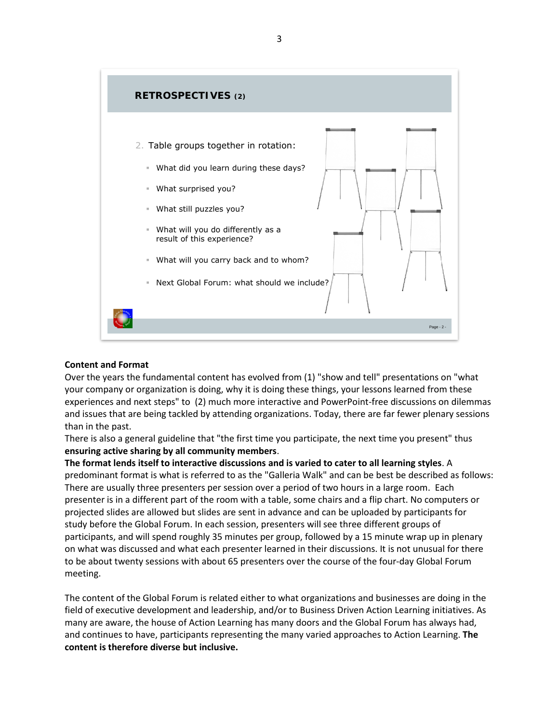

#### **Content and Format**

Over the years the fundamental content has evolved from (1) "show and tell" presentations on "what your company or organization is doing, why it is doing these things, your lessons learned from these experiences and next steps" to (2) much more interactive and PowerPoint-free discussions on dilemmas and issues that are being tackled by attending organizations. Today, there are far fewer plenary sessions than in the past.

There is also a general guideline that "the first time you participate, the next time you present" thus **ensuring active sharing by all community members**.

**The format lends itself to interactive discussions and is varied to cater to all learning styles**. A predominant format is what is referred to as the "Galleria Walk" and can be best be described as follows: There are usually three presenters per session over a period of two hours in a large room. Each presenter is in a different part of the room with a table, some chairs and a flip chart. No computers or projected slides are allowed but slides are sent in advance and can be uploaded by participants for study before the Global Forum. In each session, presenters will see three different groups of participants, and will spend roughly 35 minutes per group, followed by a 15 minute wrap up in plenary on what was discussed and what each presenter learned in their discussions. It is not unusual for there to be about twenty sessions with about 65 presenters over the course of the four-day Global Forum meeting.

The content of the Global Forum is related either to what organizations and businesses are doing in the field of executive development and leadership, and/or to Business Driven Action Learning initiatives. As many are aware, the house of Action Learning has many doors and the Global Forum has always had, and continues to have, participants representing the many varied approaches to Action Learning. **The content is therefore diverse but inclusive.**